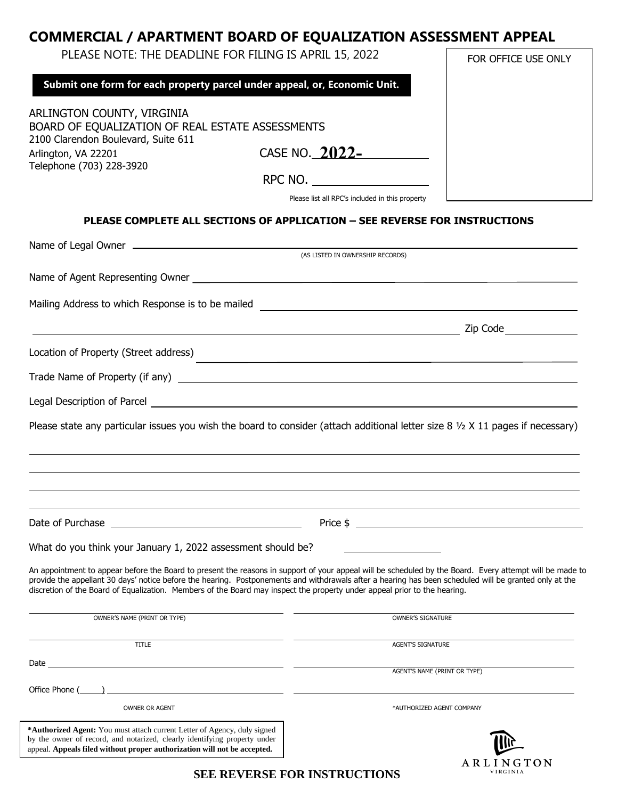## **COMMERCIAL / APARTMENT BOARD OF EQUALIZATION ASSESSMENT APPEAL**

| PLEASE NOTE: THE DEADLINE FOR FILING IS APRIL 15, 2022                                                                                                                   |                                                                              | FOR OFFICE USE ONLY |
|--------------------------------------------------------------------------------------------------------------------------------------------------------------------------|------------------------------------------------------------------------------|---------------------|
|                                                                                                                                                                          | Submit one form for each property parcel under appeal, or, Economic Unit.    |                     |
| ARLINGTON COUNTY, VIRGINIA<br>BOARD OF EQUALIZATION OF REAL ESTATE ASSESSMENTS<br>2100 Clarendon Boulevard, Suite 611<br>Arlington, VA 22201<br>Telephone (703) 228-3920 | CASE NO. 2022-<br>RPC NO.<br>Please list all RPC's included in this property |                     |

## **PLEASE COMPLETE ALL SECTIONS OF APPLICATION – SEE REVERSE FOR INSTRUCTIONS**

| (AS LISTED IN OWNERSHIP RECORDS)                                                                                                                                                                                                  |                                                                                                                                                                                                                                                                                                                       |  |
|-----------------------------------------------------------------------------------------------------------------------------------------------------------------------------------------------------------------------------------|-----------------------------------------------------------------------------------------------------------------------------------------------------------------------------------------------------------------------------------------------------------------------------------------------------------------------|--|
|                                                                                                                                                                                                                                   |                                                                                                                                                                                                                                                                                                                       |  |
| Mailing Address to which Response is to be mailed                                                                                                                                                                                 | <u> 2008 - Jan Samuel Barbara, martin da shekara 1980 - An tsa marka 1980 - An tsa marka 1980 - An tsa marka 198</u>                                                                                                                                                                                                  |  |
|                                                                                                                                                                                                                                   | Zip Code<br><u> 1989 - Johann Barnett, fransk politiker (d. 1989)</u>                                                                                                                                                                                                                                                 |  |
| Location of Property (Street address)                                                                                                                                                                                             | <u> 1989 - Johann Stoff, deutscher Stoff, der Stoff, der Stoff, der Stoff, der Stoff, der Stoff, der Stoff, der S</u>                                                                                                                                                                                                 |  |
| Trade Name of Property (if any) <b>Example 20</b> Second 1997 and 20 Second 1997 and 20 Second 1997 and 20 Second 199                                                                                                             |                                                                                                                                                                                                                                                                                                                       |  |
|                                                                                                                                                                                                                                   |                                                                                                                                                                                                                                                                                                                       |  |
|                                                                                                                                                                                                                                   | Please state any particular issues you wish the board to consider (attach additional letter size $8\frac{1}{2} \times 11$ pages if necessary)                                                                                                                                                                         |  |
|                                                                                                                                                                                                                                   | Price $\frac{1}{2}$ $\frac{1}{2}$ $\frac{1}{2}$ $\frac{1}{2}$ $\frac{1}{2}$ $\frac{1}{2}$ $\frac{1}{2}$ $\frac{1}{2}$ $\frac{1}{2}$ $\frac{1}{2}$ $\frac{1}{2}$ $\frac{1}{2}$ $\frac{1}{2}$ $\frac{1}{2}$ $\frac{1}{2}$ $\frac{1}{2}$ $\frac{1}{2}$ $\frac{1}{2}$ $\frac{1}{2}$ $\frac{1}{2}$ $\frac{1}{2}$ $\frac{1$ |  |
| What do you think your January 1, 2022 assessment should be?                                                                                                                                                                      |                                                                                                                                                                                                                                                                                                                       |  |
| discretion of the Board of Equalization. Members of the Board may inspect the property under appeal prior to the hearing.                                                                                                         | An appointment to appear before the Board to present the reasons in support of your appeal will be scheduled by the Board. Every attempt will be made to<br>provide the appellant 30 days' notice before the hearing. Postponements and withdrawals after a hearing has been scheduled will be granted only at the    |  |
| OWNER'S NAME (PRINT OR TYPE)                                                                                                                                                                                                      | <b>OWNER'S SIGNATURE</b>                                                                                                                                                                                                                                                                                              |  |
| <b>TITLE</b>                                                                                                                                                                                                                      | AGENT'S SIGNATURE                                                                                                                                                                                                                                                                                                     |  |
|                                                                                                                                                                                                                                   | AGENT'S NAME (PRINT OR TYPE)                                                                                                                                                                                                                                                                                          |  |
|                                                                                                                                                                                                                                   |                                                                                                                                                                                                                                                                                                                       |  |
| <b>OWNER OR AGENT</b>                                                                                                                                                                                                             | *AUTHORIZED AGENT COMPANY                                                                                                                                                                                                                                                                                             |  |
| *Authorized Agent: You must attach current Letter of Agency, duly signed<br>by the owner of record, and notarized, clearly identifying property under<br>appeal. Appeals filed without proper authorization will not be accepted. |                                                                                                                                                                                                                                                                                                                       |  |

**SEE REVERSE FOR INSTRUCTIONS**

ARLINGTON **VIRGINIA**